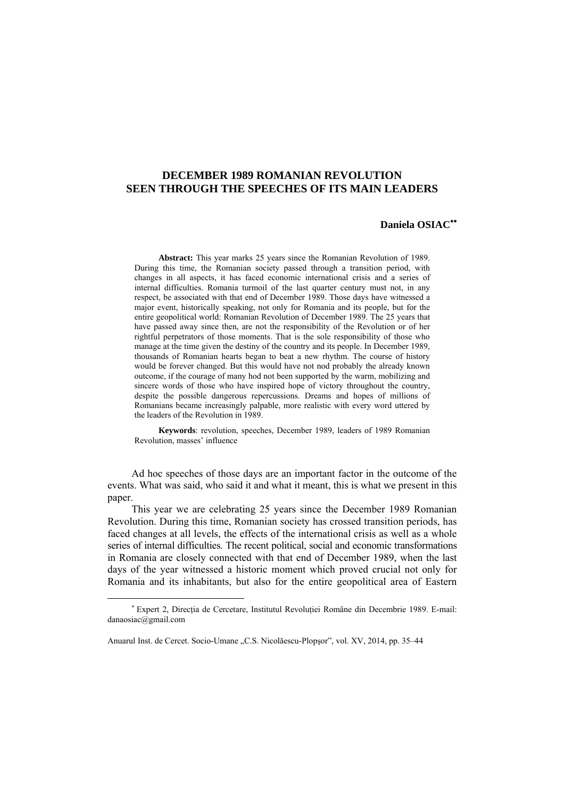## **DECEMBER 1989 ROMANIAN REVOLUTION SEEN THROUGH THE SPEECHES OF ITS MAIN LEADERS**

## **Daniela OSIAC**∗∗

**Abstract:** This year marks 25 years since the Romanian Revolution of 1989. During this time, the Romanian society passed through a transition period, with changes in all aspects, it has faced economic international crisis and a series of internal difficulties. Romania turmoil of the last quarter century must not, in any respect, be associated with that end of December 1989. Those days have witnessed a major event, historically speaking, not only for Romania and its people, but for the entire geopolitical world: Romanian Revolution of December 1989. The 25 years that have passed away since then, are not the responsibility of the Revolution or of her rightful perpetrators of those moments. That is the sole responsibility of those who manage at the time given the destiny of the country and its people. In December 1989, thousands of Romanian hearts began to beat a new rhythm. The course of history would be forever changed. But this would have not nod probably the already known outcome, if the courage of many hod not been supported by the warm, mobilizing and sincere words of those who have inspired hope of victory throughout the country, despite the possible dangerous repercussions. Dreams and hopes of millions of Romanians became increasingly palpable, more realistic with every word uttered by the leaders of the Revolution in 1989.

**Keywords**: revolution, speeches, December 1989, leaders of 1989 Romanian Revolution, masses' influence

Ad hoc speeches of those days are an important factor in the outcome of the events. What was said, who said it and what it meant, this is what we present in this paper.

This year we are celebrating 25 years since the December 1989 Romanian Revolution. During this time, Romanian society has crossed transition periods, has faced changes at all levels, the effects of the international crisis as well as a whole series of internal difficulties. The recent political, social and economic transformations in Romania are closely connected with that end of December 1989, when the last days of the year witnessed a historic moment which proved crucial not only for Romania and its inhabitants, but also for the entire geopolitical area of Eastern

<sup>∗</sup> Expert 2, Direcţia de Cercetare, Institutul Revoluţiei Române din Decembrie 1989. E-mail: danaosiac@gmail.com

Anuarul Inst. de Cercet. Socio-Umane "C.S. Nicolăescu-Plopşor", vol. XV, 2014, pp. 35–44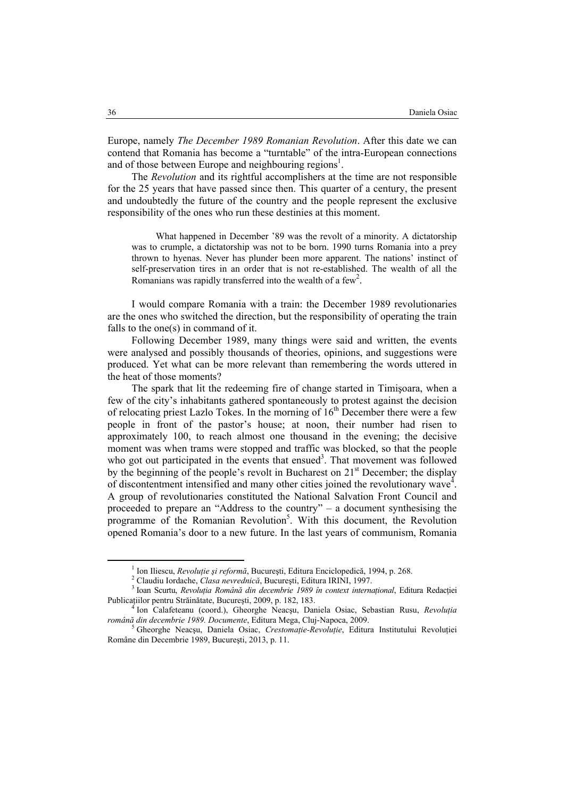Europe, namely *The December 1989 Romanian Revolution*. After this date we can contend that Romania has become a "turntable" of the intra-European connections and of those between Europe and neighbouring regions<sup>1</sup>.

The *Revolution* and its rightful accomplishers at the time are not responsible for the 25 years that have passed since then. This quarter of a century, the present and undoubtedly the future of the country and the people represent the exclusive responsibility of the ones who run these destinies at this moment.

What happened in December '89 was the revolt of a minority. A dictatorship was to crumple, a dictatorship was not to be born. 1990 turns Romania into a prey thrown to hyenas. Never has plunder been more apparent. The nations' instinct of self-preservation tires in an order that is not re-established. The wealth of all the Romanians was rapidly transferred into the wealth of a few<sup>2</sup>.

I would compare Romania with a train: the December 1989 revolutionaries are the ones who switched the direction, but the responsibility of operating the train falls to the one(s) in command of it.

Following December 1989, many things were said and written, the events were analysed and possibly thousands of theories, opinions, and suggestions were produced. Yet what can be more relevant than remembering the words uttered in the heat of those moments?

The spark that lit the redeeming fire of change started in Timişoara, when a few of the city's inhabitants gathered spontaneously to protest against the decision of relocating priest Lazlo Tokes. In the morning of  $16<sup>th</sup>$  December there were a few people in front of the pastor's house; at noon, their number had risen to approximately 100, to reach almost one thousand in the evening; the decisive moment was when trams were stopped and traffic was blocked, so that the people who got out participated in the events that ensued<sup>3</sup>. That movement was followed by the beginning of the people's revolt in Bucharest on  $21<sup>st</sup>$  December; the display of discontentment intensified and many other cities joined the revolutionary wave<sup> $4$ </sup>. A group of revolutionaries constituted the National Salvation Front Council and proceeded to prepare an "Address to the country" – a document synthesising the programme of the Romanian Revolution<sup>5</sup>. With this document, the Revolution opened Romania's door to a new future. In the last years of communism, Romania

 $\frac{1}{1}$  Ion Iliacou, *Paughtia și ustamă* Ion Iliescu, *Revoluţie şi reformă*, Bucureşti, Editura Enciclopedică, 1994, p. 268. 2

Claudiu Iordache, *Clasa nevrednică*, Bucureşti, Editura IRINI, 1997. 3

Ioan Scurtu, *Revoluţia Română din decembrie 1989 în context internaţional*, Editura Redacţiei Publicaţiilor pentru Străinătate, Bucureşti, 2009, p. 182, 183. 4

Ion Calafeteanu (coord.), Gheorghe Neacşu, Daniela Osiac, Sebastian Rusu, *Revoluţia română din decembrie 1989. Documente*, Editura Mega, Cluj-Napoca, 2009. 5

Gheorghe Neacşu, Daniela Osiac, *Crestomaţie-Revoluţie*, Editura Institutului Revoluţiei Române din Decembrie 1989, Bucureşti, 2013, p. 11.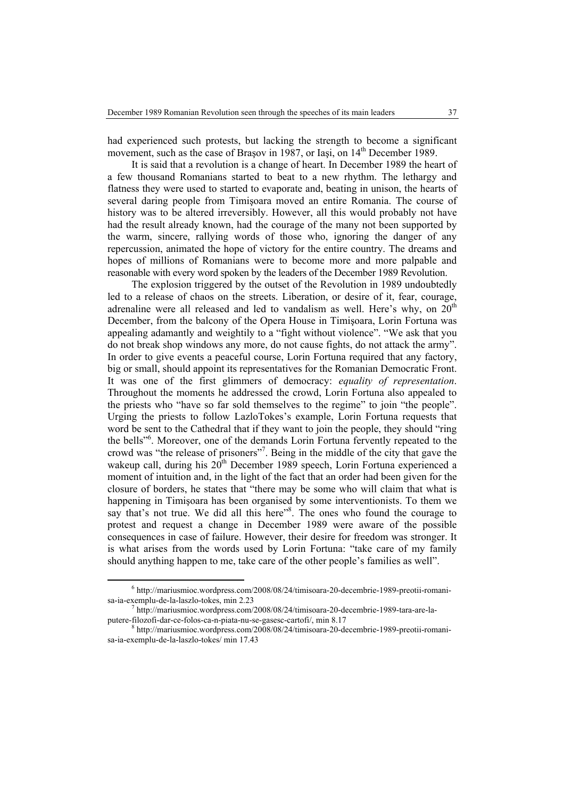had experienced such protests, but lacking the strength to become a significant movement, such as the case of Brașov in 1987, or Iași, on 14<sup>th</sup> December 1989.

It is said that a revolution is a change of heart. In December 1989 the heart of a few thousand Romanians started to beat to a new rhythm. The lethargy and flatness they were used to started to evaporate and, beating in unison, the hearts of several daring people from Timişoara moved an entire Romania. The course of history was to be altered irreversibly. However, all this would probably not have had the result already known, had the courage of the many not been supported by the warm, sincere, rallying words of those who, ignoring the danger of any repercussion, animated the hope of victory for the entire country. The dreams and hopes of millions of Romanians were to become more and more palpable and reasonable with every word spoken by the leaders of the December 1989 Revolution.

The explosion triggered by the outset of the Revolution in 1989 undoubtedly led to a release of chaos on the streets. Liberation, or desire of it, fear, courage, adrenaline were all released and led to vandalism as well. Here's why, on  $20<sup>th</sup>$ December, from the balcony of the Opera House in Timişoara, Lorin Fortuna was appealing adamantly and weightily to a "fight without violence". "We ask that you do not break shop windows any more, do not cause fights, do not attack the army". In order to give events a peaceful course, Lorin Fortuna required that any factory, big or small, should appoint its representatives for the Romanian Democratic Front. It was one of the first glimmers of democracy: *equality of representation*. Throughout the moments he addressed the crowd, Lorin Fortuna also appealed to the priests who "have so far sold themselves to the regime" to join "the people". Urging the priests to follow LazloTokes's example, Lorin Fortuna requests that word be sent to the Cathedral that if they want to join the people, they should "ring the bells"<sup>6</sup>. Moreover, one of the demands Lorin Fortuna fervently repeated to the crowd was "the release of prisoners"<sup>7</sup>. Being in the middle of the city that gave the wakeup call, during his  $20^{th}$  December 1989 speech, Lorin Fortuna experienced a moment of intuition and, in the light of the fact that an order had been given for the closure of borders, he states that "there may be some who will claim that what is happening in Timişoara has been organised by some interventionists. To them we say that's not true. We did all this here"<sup>8</sup>. The ones who found the courage to protest and request a change in December 1989 were aware of the possible consequences in case of failure. However, their desire for freedom was stronger. It is what arises from the words used by Lorin Fortuna: "take care of my family should anything happen to me, take care of the other people's families as well".

 <sup>6</sup> http://mariusmioc.wordpress.com/2008/08/24/timisoara-20-decembrie-1989-preotii-romanisa-ia-exemplu-de-la-laszlo-tokes, min 2.23 7

http://mariusmioc.wordpress.com/2008/08/24/timisoara-20-decembrie-1989-tara-are-laputere-filozofi-dar-ce-folos-ca-n-piata-nu-se-gasesc-cartofi/, min 8.17

http://mariusmioc.wordpress.com/2008/08/24/timisoara-20-decembrie-1989-preotii-romanisa-ia-exemplu-de-la-laszlo-tokes/ min 17.43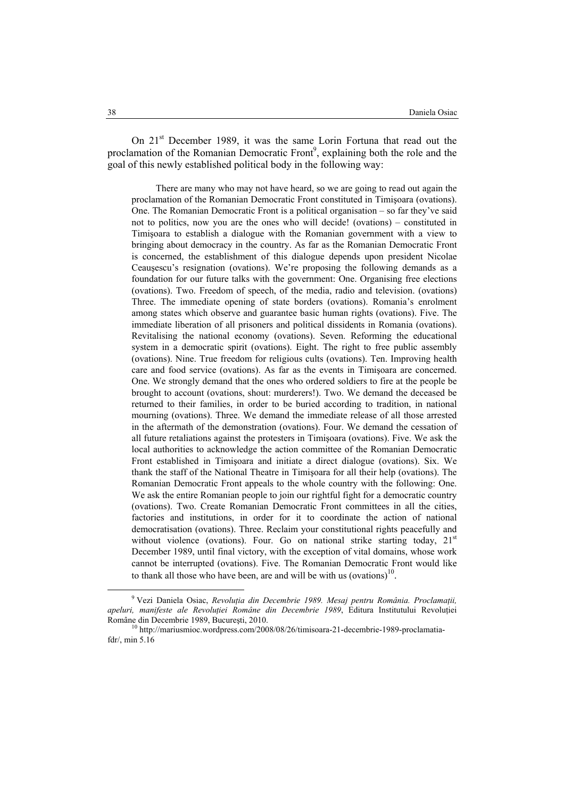On 21<sup>st</sup> December 1989, it was the same Lorin Fortuna that read out the proclamation of the Romanian Democratic Front<sup>9</sup>, explaining both the role and the goal of this newly established political body in the following way:

There are many who may not have heard, so we are going to read out again the proclamation of the Romanian Democratic Front constituted in Timişoara (ovations). One. The Romanian Democratic Front is a political organisation – so far they've said not to politics, now you are the ones who will decide! (ovations) – constituted in Timişoara to establish a dialogue with the Romanian government with a view to bringing about democracy in the country. As far as the Romanian Democratic Front is concerned, the establishment of this dialogue depends upon president Nicolae Ceauşescu's resignation (ovations). We're proposing the following demands as a foundation for our future talks with the government: One. Organising free elections (ovations). Two. Freedom of speech, of the media, radio and television. (ovations) Three. The immediate opening of state borders (ovations). Romania's enrolment among states which observe and guarantee basic human rights (ovations). Five. The immediate liberation of all prisoners and political dissidents in Romania (ovations). Revitalising the national economy (ovations). Seven. Reforming the educational system in a democratic spirit (ovations). Eight. The right to free public assembly (ovations). Nine. True freedom for religious cults (ovations). Ten. Improving health care and food service (ovations). As far as the events in Timişoara are concerned. One. We strongly demand that the ones who ordered soldiers to fire at the people be brought to account (ovations, shout: murderers!). Two. We demand the deceased be returned to their families, in order to be buried according to tradition, in national mourning (ovations). Three. We demand the immediate release of all those arrested in the aftermath of the demonstration (ovations). Four. We demand the cessation of all future retaliations against the protesters in Timişoara (ovations). Five. We ask the local authorities to acknowledge the action committee of the Romanian Democratic Front established in Timişoara and initiate a direct dialogue (ovations). Six. We thank the staff of the National Theatre in Timişoara for all their help (ovations). The Romanian Democratic Front appeals to the whole country with the following: One. We ask the entire Romanian people to join our rightful fight for a democratic country (ovations). Two. Create Romanian Democratic Front committees in all the cities, factories and institutions, in order for it to coordinate the action of national democratisation (ovations). Three. Reclaim your constitutional rights peacefully and without violence (ovations). Four. Go on national strike starting today,  $21<sup>st</sup>$ December 1989, until final victory, with the exception of vital domains, whose work cannot be interrupted (ovations). Five. The Romanian Democratic Front would like to thank all those who have been, are and will be with us (ovations)<sup>10</sup>.

 <sup>9</sup> Vezi Daniela Osiac, *Revoluţia din Decembrie 1989. Mesaj pentru România. Proclamaţii, apeluri, manifeste ale Revoluţiei Române din Decembrie 1989*, Editura Institutului Revoluţiei Române din Decembrie 1989, București, 2010.<br><sup>10</sup> http://mariusmioc.wordpress.com/2008/08/26/timisoara-21-decembrie-1989-proclamatia-

fdr/, min 5.16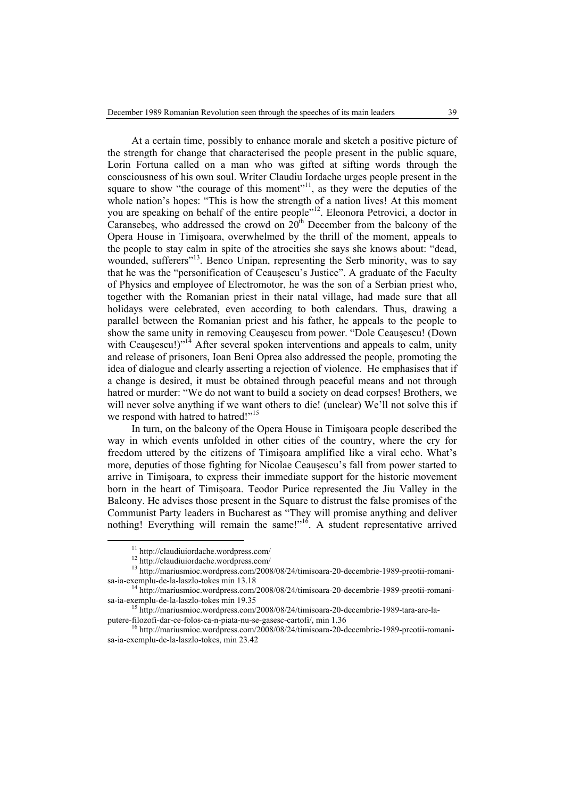At a certain time, possibly to enhance morale and sketch a positive picture of the strength for change that characterised the people present in the public square, Lorin Fortuna called on a man who was gifted at sifting words through the consciousness of his own soul. Writer Claudiu Iordache urges people present in the square to show "the courage of this moment"<sup>11</sup>, as they were the deputies of the whole nation's hopes: "This is how the strength of a nation lives! At this moment you are speaking on behalf of the entire people"<sup>12</sup>. Eleonora Petrovici, a doctor in Caransebes, who addressed the crowd on  $20<sup>th</sup>$  December from the balcony of the Opera House in Timişoara, overwhelmed by the thrill of the moment, appeals to the people to stay calm in spite of the atrocities she says she knows about: "dead, wounded, sufferers"<sup>13</sup>. Benco Unipan, representing the Serb minority, was to say that he was the "personification of Ceauşescu's Justice". A graduate of the Faculty of Physics and employee of Electromotor, he was the son of a Serbian priest who, together with the Romanian priest in their natal village, had made sure that all holidays were celebrated, even according to both calendars. Thus, drawing a parallel between the Romanian priest and his father, he appeals to the people to show the same unity in removing Ceauşescu from power. "Dole Ceauşescu! (Down with Ceausescu!)"<sup>14</sup> After several spoken interventions and appeals to calm, unity and release of prisoners, Ioan Beni Oprea also addressed the people, promoting the idea of dialogue and clearly asserting a rejection of violence. He emphasises that if a change is desired, it must be obtained through peaceful means and not through hatred or murder: "We do not want to build a society on dead corpses! Brothers, we will never solve anything if we want others to die! (unclear) We'll not solve this if we respond with hatred to hatred!"<sup>15</sup>

In turn, on the balcony of the Opera House in Timişoara people described the way in which events unfolded in other cities of the country, where the cry for freedom uttered by the citizens of Timişoara amplified like a viral echo. What's more, deputies of those fighting for Nicolae Ceauşescu's fall from power started to arrive in Timişoara, to express their immediate support for the historic movement born in the heart of Timişoara. Teodor Purice represented the Jiu Valley in the Balcony. He advises those present in the Square to distrust the false promises of the Communist Party leaders in Bucharest as "They will promise anything and deliver nothing! Everything will remain the same!" $16$ . A student representative arrived

 11 http://claudiuiordache.wordpress.com/

<sup>12</sup> http://claudiuiordache.wordpress.com/

<sup>13</sup> http://mariusmioc.wordpress.com/2008/08/24/timisoara-20-decembrie-1989-preotii-romani-

sa-ia-exemplu-de-la-laszlo-tokes min 13.18<br><sup>14</sup> http://mariusmioc.wordpress.com/2008/08/24/timisoara-20-decembrie-1989-preotii-romani-<br>sa-ia-exemplu-de-la-laszlo-tokes min 19.35

<sup>&</sup>lt;sup>15</sup> http://mariusmioc.wordpress.com/2008/08/24/timisoara-20-decembrie-1989-tara-are-laputere-filozofi-dar-ce-folos-ca-n-piata-nu-se-gasesc-cartofi/, min 1.36<br><sup>16</sup> http://mariusmioc.wordpress.com/2008/08/24/timisoara-20-decembrie-1989-preotii-romani-

sa-ia-exemplu-de-la-laszlo-tokes, min 23.42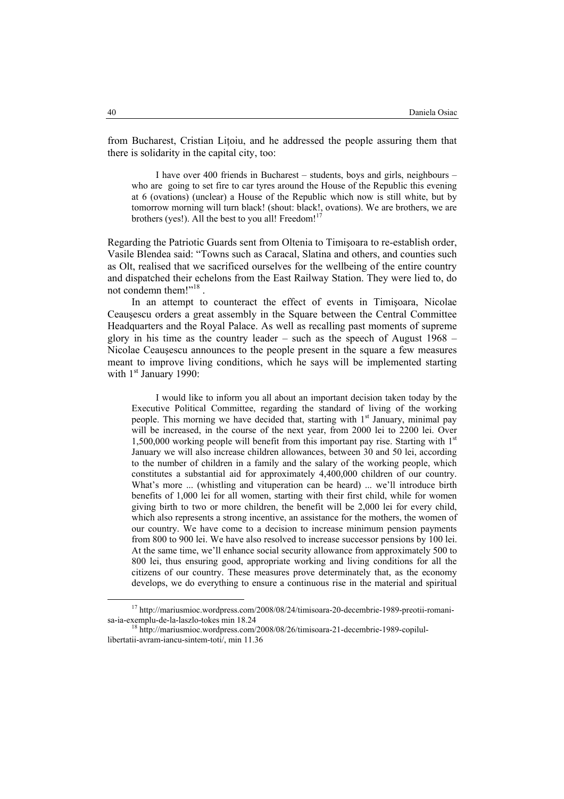from Bucharest, Cristian Litoiu, and he addressed the people assuring them that there is solidarity in the capital city, too:

I have over 400 friends in Bucharest – students, boys and girls, neighbours – who are going to set fire to car tyres around the House of the Republic this evening at 6 (ovations) (unclear) a House of the Republic which now is still white, but by tomorrow morning will turn black! (shout: black!, ovations). We are brothers, we are brothers (yes!). All the best to you all! Freedom! $17$ 

Regarding the Patriotic Guards sent from Oltenia to Timişoara to re-establish order, Vasile Blendea said: "Towns such as Caracal, Slatina and others, and counties such as Olt, realised that we sacrificed ourselves for the wellbeing of the entire country and dispatched their echelons from the East Railway Station. They were lied to, do not condemn them!"<sup>18</sup>.

In an attempt to counteract the effect of events in Timişoara, Nicolae Ceauşescu orders a great assembly in the Square between the Central Committee Headquarters and the Royal Palace. As well as recalling past moments of supreme glory in his time as the country leader – such as the speech of August  $1968 -$ Nicolae Ceauşescu announces to the people present in the square a few measures meant to improve living conditions, which he says will be implemented starting with  $1<sup>st</sup>$  January 1990:

I would like to inform you all about an important decision taken today by the Executive Political Committee, regarding the standard of living of the working people. This morning we have decided that, starting with  $1<sup>st</sup>$  January, minimal pay will be increased, in the course of the next year, from 2000 lei to 2200 lei. Over 1,500,000 working people will benefit from this important pay rise. Starting with  $1<sup>st</sup>$ January we will also increase children allowances, between 30 and 50 lei, according to the number of children in a family and the salary of the working people, which constitutes a substantial aid for approximately 4,400,000 children of our country. What's more ... (whistling and vituperation can be heard) ... we'll introduce birth benefits of 1,000 lei for all women, starting with their first child, while for women giving birth to two or more children, the benefit will be 2,000 lei for every child, which also represents a strong incentive, an assistance for the mothers, the women of our country. We have come to a decision to increase minimum pension payments from 800 to 900 lei. We have also resolved to increase successor pensions by 100 lei. At the same time, we'll enhance social security allowance from approximately 500 to 800 lei, thus ensuring good, appropriate working and living conditions for all the citizens of our country. These measures prove determinately that, as the economy develops, we do everything to ensure a continuous rise in the material and spiritual

 17 http://mariusmioc.wordpress.com/2008/08/24/timisoara-20-decembrie-1989-preotii-romani-

sa-ia-exemplu-de-la-laszlo-tokes min 18.24<br><sup>18</sup> http://mariusmioc.wordpress.com/2008/08/26/timisoara-21-decembrie-1989-copilullibertatii-avram-iancu-sintem-toti/, min 11.36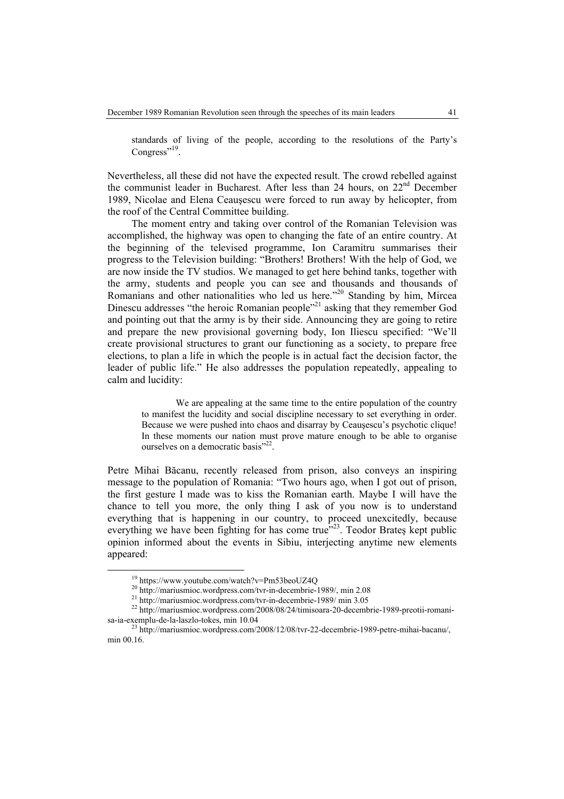standards of living of the people, according to the resolutions of the Party's Congress"<sup>19</sup>.

Nevertheless, all these did not have the expected result. The crowd rebelled against the communist leader in Bucharest. After less than 24 hours, on  $22<sup>nd</sup>$  December 1989, Nicolae and Elena Ceauşescu were forced to run away by helicopter, from the roof of the Central Committee building.

The moment entry and taking over control of the Romanian Television was accomplished, the highway was open to changing the fate of an entire country. At the beginning of the televised programme, Ion Caramitru summarises their progress to the Television building: "Brothers! Brothers! With the help of God, we are now inside the TV studios. We managed to get here behind tanks, together with the army, students and people you can see and thousands and thousands of Romanians and other nationalities who led us here."<sup>20</sup> Standing by him, Mircea Dinescu addresses "the heroic Romanian people"<sup>21</sup> asking that they remember God and pointing out that the army is by their side. Announcing they are going to retire and prepare the new provisional governing body, Ion Iliescu specified: "We'll create provisional structures to grant our functioning as a society, to prepare free elections, to plan a life in which the people is in actual fact the decision factor, the leader of public life." He also addresses the population repeatedly, appealing to calm and lucidity:

We are appealing at the same time to the entire population of the country to manifest the lucidity and social discipline necessary to set everything in order. Because we were pushed into chaos and disarray by Ceauşescu's psychotic clique! In these moments our nation must prove mature enough to be able to organise ourselves on a democratic basis"<sup>22</sup>.

Petre Mihai Băcanu, recently released from prison, also conveys an inspiring message to the population of Romania: "Two hours ago, when I got out of prison, the first gesture I made was to kiss the Romanian earth. Maybe I will have the chance to tell you more, the only thing I ask of you now is to understand everything that is happening in our country, to proceed unexcitedly, because everything we have been fighting for has come true<sup>523</sup>. Teodor Brates kept public opinion informed about the events in Sibiu, interjecting anytime new elements appeared:

<sup>&</sup>lt;sup>19</sup> https://www.youtube.com/watch?v=Pm53beoUZ4Q<br><sup>20</sup> http://mariusmioc.wordpress.com/tvr-in-decembrie-1989/, min 2.08<br><sup>21</sup> http://mariusmioc.wordpress.com/tvr-in-decembrie-1989/ min 3.05<br><sup>22</sup> http://mariusmioc.wordpress. sa-ia-exemplu-de-la-laszlo-tokes, min 10.04<br><sup>23</sup> http://mariusmioc.wordpress.com/2008/12/08/tvr-22-decembrie-1989-petre-mihai-bacanu/,

min 00.16.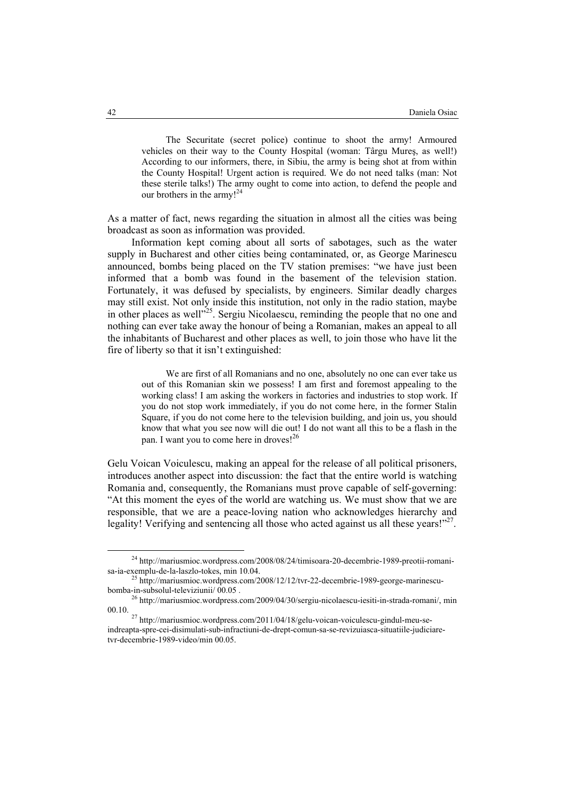The Securitate (secret police) continue to shoot the army! Armoured vehicles on their way to the County Hospital (woman: Târgu Mureş, as well!) According to our informers, there, in Sibiu, the army is being shot at from within the County Hospital! Urgent action is required. We do not need talks (man: Not these sterile talks!) The army ought to come into action, to defend the people and our brothers in the army! $^{24}$ 

As a matter of fact, news regarding the situation in almost all the cities was being broadcast as soon as information was provided.

Information kept coming about all sorts of sabotages, such as the water supply in Bucharest and other cities being contaminated, or, as George Marinescu announced, bombs being placed on the TV station premises: "we have just been informed that a bomb was found in the basement of the television station. Fortunately, it was defused by specialists, by engineers. Similar deadly charges may still exist. Not only inside this institution, not only in the radio station, maybe in other places as well"<sup>25</sup>. Sergiu Nicolaescu, reminding the people that no one and nothing can ever take away the honour of being a Romanian, makes an appeal to all the inhabitants of Bucharest and other places as well, to join those who have lit the fire of liberty so that it isn't extinguished:

We are first of all Romanians and no one, absolutely no one can ever take us out of this Romanian skin we possess! I am first and foremost appealing to the working class! I am asking the workers in factories and industries to stop work. If you do not stop work immediately, if you do not come here, in the former Stalin Square, if you do not come here to the television building, and join us, you should know that what you see now will die out! I do not want all this to be a flash in the pan. I want you to come here in droves!<sup>26</sup>

Gelu Voican Voiculescu, making an appeal for the release of all political prisoners, introduces another aspect into discussion: the fact that the entire world is watching Romania and, consequently, the Romanians must prove capable of self-governing: "At this moment the eyes of the world are watching us. We must show that we are responsible, that we are a peace-loving nation who acknowledges hierarchy and legality! Verifying and sentencing all those who acted against us all these years!" $27$ .

 24 http://mariusmioc.wordpress.com/2008/08/24/timisoara-20-decembrie-1989-preotii-romanisa-ia-exemplu-de-la-laszlo-tokes, min 10.04.<br><sup>25</sup> http://mariusmioc.wordpress.com/2008/12/12/tvr-22-decembrie-1989-george-marinescu-

bomba-in-subsolul-televiziunii/ 00.05 .<br><sup>26</sup> http://mariusmioc.wordpress.com/2009/04/30/sergiu-nicolaescu-iesiti-in-strada-romani/, min<br>00.10.

 $^{27}$  http://mariusmioc.wordpress.com/2011/04/18/gelu-voican-voiculescu-gindul-meu-seindreapta-spre-cei-disimulati-sub-infractiuni-de-drept-comun-sa-se-revizuiasca-situatiile-judiciaretvr-decembrie-1989-video/min 00.05.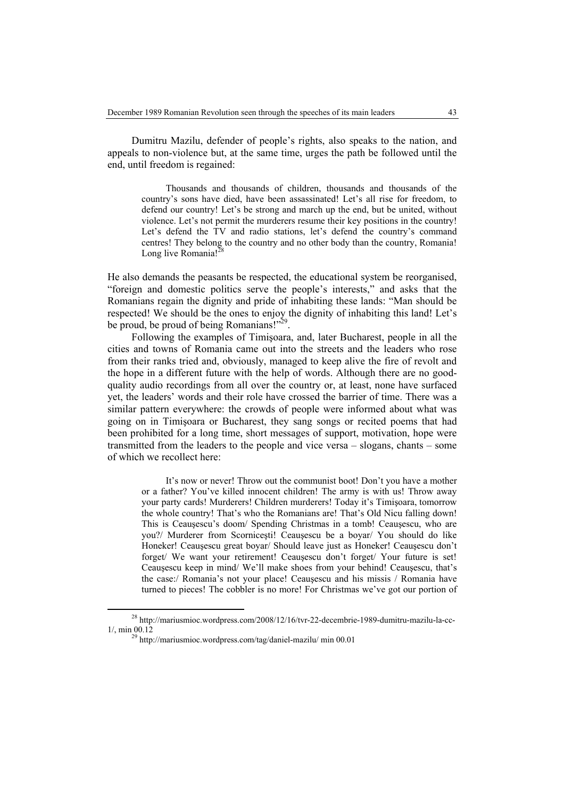Dumitru Mazilu, defender of people's rights, also speaks to the nation, and appeals to non-violence but, at the same time, urges the path be followed until the end, until freedom is regained:

Thousands and thousands of children, thousands and thousands of the country's sons have died, have been assassinated! Let's all rise for freedom, to defend our country! Let's be strong and march up the end, but be united, without violence. Let's not permit the murderers resume their key positions in the country! Let's defend the TV and radio stations, let's defend the country's command centres! They belong to the country and no other body than the country, Romania! Long live Romania!<sup>28</sup>

He also demands the peasants be respected, the educational system be reorganised, "foreign and domestic politics serve the people's interests," and asks that the Romanians regain the dignity and pride of inhabiting these lands: "Man should be respected! We should be the ones to enjoy the dignity of inhabiting this land! Let's be proud, be proud of being Romanians!"<sup>29</sup>.

Following the examples of Timişoara, and, later Bucharest, people in all the cities and towns of Romania came out into the streets and the leaders who rose from their ranks tried and, obviously, managed to keep alive the fire of revolt and the hope in a different future with the help of words. Although there are no goodquality audio recordings from all over the country or, at least, none have surfaced yet, the leaders' words and their role have crossed the barrier of time. There was a similar pattern everywhere: the crowds of people were informed about what was going on in Timişoara or Bucharest, they sang songs or recited poems that had been prohibited for a long time, short messages of support, motivation, hope were transmitted from the leaders to the people and vice versa – slogans, chants – some of which we recollect here:

It's now or never! Throw out the communist boot! Don't you have a mother or a father? You've killed innocent children! The army is with us! Throw away your party cards! Murderers! Children murderers! Today it's Timişoara, tomorrow the whole country! That's who the Romanians are! That's Old Nicu falling down! This is Ceauşescu's doom/ Spending Christmas in a tomb! Ceauşescu, who are you?/ Murderer from Scorniceşti! Ceauşescu be a boyar/ You should do like Honeker! Ceauşescu great boyar/ Should leave just as Honeker! Ceauşescu don't forget/ We want your retirement! Ceauşescu don't forget/ Your future is set! Ceauşescu keep in mind/ We'll make shoes from your behind! Ceauşescu, that's the case:/ Romania's not your place! Ceauşescu and his missis / Romania have turned to pieces! The cobbler is no more! For Christmas we've got our portion of

<sup>&</sup>lt;sup>28</sup> http://mariusmioc.wordpress.com/2008/12/16/tvr-22-decembrie-1989-dumitru-mazilu-la-cc-<br>1/. min 00.12

<sup>&</sup>lt;sup>29</sup> http://mariusmioc.wordpress.com/tag/daniel-mazilu/ min 00.01